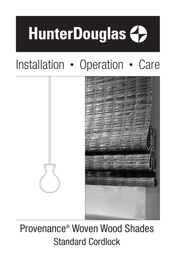# **HunterDouglas <>>>**

# Installation • Operation • Care



# Provenance® Woven Wood Shades Standard Cordlock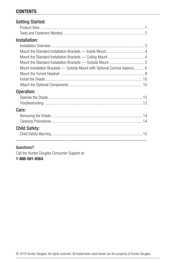# **CONTENTS**

| <b>Getting Started:</b>                                                      |
|------------------------------------------------------------------------------|
|                                                                              |
|                                                                              |
| Installation:                                                                |
|                                                                              |
|                                                                              |
|                                                                              |
|                                                                              |
| Mount Installation Brackets — Outside Mount with Optional Cornice Valance  6 |
|                                                                              |
|                                                                              |
|                                                                              |
| Operation:                                                                   |
|                                                                              |
|                                                                              |
| Care:                                                                        |
|                                                                              |
|                                                                              |
| <b>Child Safety:</b>                                                         |
|                                                                              |

#### Questions?

Call the Hunter Douglas Consumer Support at 1-888-501-8364.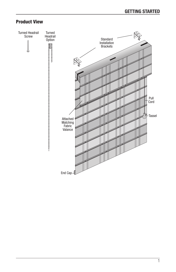# Product View

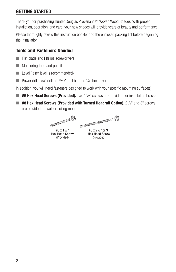# GETTING STARTED

Thank you for purchasing Hunter Douglas Provenance® Woven Wood Shades. With proper installation, operation, and care, your new shades will provide years of beauty and performance.

Please thoroughly review this instruction booklet and the enclosed packing list before beginning the installation.

# Tools and Fasteners Needed

- Flat blade and Phillips screwdrivers
- Measuring tape and pencil
- Level (laser level is recommended)
- **D** Power drill,  $3/16$ " drill bit,  $3/32$ " drill bit, and  $1/4$ " hex driver

In addition, you will need fasteners designed to work with your specific mounting surface(s).

- #6 Hex Head Screws (Provided). Two 1<sup>1</sup>/<sub>2</sub>" screws are provided per installation bracket.
- $\blacksquare$  #8 Hex Head Screws (Provided with Turned Headrail Option).  $2^{1/2}$ " and 3" screws are provided for wall or ceiling mount.

**COLORATION CONTINUES (C)** #6 x 11 /2" #8 x 21 /2" or 3" Hex Head Screw Hex Head Screw (Provided) (Provided)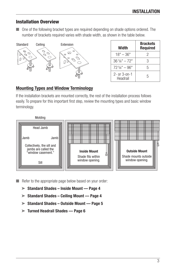#### Installation Overview

■ One of the following bracket types are required depending on shade options ordered. The number of brackets required varies with shade width, as shown in the table below.



| Width                           | <b>Brackets</b><br><b>Required</b> |
|---------------------------------|------------------------------------|
| $18" - 36"$                     | 2                                  |
| $36^{1}/8" - 72"$               | З                                  |
| $721\frac{1}{8}$ " - 96"        | 5                                  |
| $2 - or 3 - on - 1$<br>Headrail | 5                                  |

#### Mounting Types and Window Terminology

If the installation brackets are mounted correctly, the rest of the installation process follows easily. To prepare for this important first step, review the mounting types and basic window terminology.



■ Refer to the appropriate page below based on your order:

- ➤ Standard Shades Inside Mount Page 4
- ➤ Standard Shades Ceiling Mount Page 4
- ➤ Standard Shades Outside Mount Page 5
- $\blacktriangleright$  Turned Headrail Shades Page 6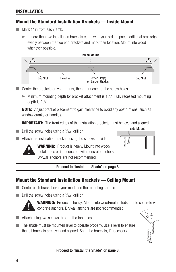# **INSTALLATION**

# Mount the Standard Installation Brackets — Inside Mount

- Mark 1" in from each jamb.
	- ► If more than two installation brackets came with your order, space additional bracket(s) evenly between the two end brackets and mark their location. Mount into wood whenever possible.



- Center the brackets on your marks, then mark each of the screw holes.
	- ➤ Minimum mounting depth for bracket attachment is 11 /2". Fully recessed mounting depth is 2<sup>1</sup>/<sub>4</sub>".

NOTE: Adjust bracket placement to gain clearance to avoid any obstructions, such as window cranks or handles.

**IMPORTANT:** The front edges of the installation brackets must be level and aligned.

 $\blacksquare$  Drill the screw holes using a  $\frac{3}{32}$ " drill bit.

■ Attach the installation brackets using the screws provided.



**WARNING:** Product is heavy. Mount into wood/ metal studs or into concrete with concrete anchors. Drywall anchors are not recommended.

#### Proceed to "Install the Shade" on page 8.

### Mount the Standard Installation Brackets — Ceiling Mount

- Center each bracket over your marks on the mounting surface.
- $\blacksquare$  Drill the screw holes using a  $3/32$ " drill bit.



**WARNING:** Product is heavy. Mount into wood/metal studs or into concrete with concrete anchors. Drywall anchors are not recommended.

- Attach using two screws through the top holes.
- The shade must be mounted level to operate properly. Use a level to ensure that all brackets are level and aligned. Shim the brackets, if necessary.



Outside Mount

Inside Mount

#### Proceed to "Install the Shade" on page 8.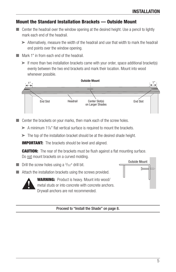# Mount the Standard Installation Brackets — Outside Mount

- Center the headrail over the window opening at the desired height. Use a pencil to lightly mark each end of the headrail.
	- ➤ Alternatively, measure the width of the headrail and use that width to mark the headrail end points over the window opening.
- Mark 1" in from each end of the headrail.
	- ➤ If more than two installation brackets came with your order, space additional bracket(s) evenly between the two end brackets and mark their location. Mount into wood whenever possible.



■ Center the brackets on your marks, then mark each of the screw holes.

- ▶ A minimum 17/<sub>8</sub>" flat vertical surface is required to mount the brackets.
- ➤ The top of the installation bracket should be at the desired shade height.

**IMPORTANT:** The brackets should be level and aligned.

**CAUTION:** The rear of the brackets must be flush against a flat mounting surface. Do not mount brackets on a curved molding.

- $\blacksquare$  Drill the screw holes using a  $3/32$ " drill bit.
- Attach the installation brackets using the screws provided.



**WARNING:** Product is heavy. Mount into wood/ metal studs or into concrete with concrete anchors. Drywall anchors are not recommended.



#### Proceed to "Install the Shade" on page 8.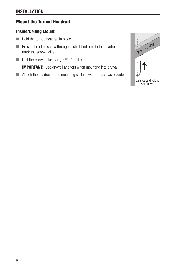# Mount the Turned Headrail

#### Inside/Ceiling Mount

- Hold the turned headrail in place.
- Press a headrail screw through each drilled hole in the headrail to mark the screw holes.
- $\blacksquare$  Drill the screw holes using a  $3/32$ " drill bit.

**IMPORTANT:** Use drywall anchors when mounting into drywall.

■ Attach the headrail to the mounting surface with the screws provided.

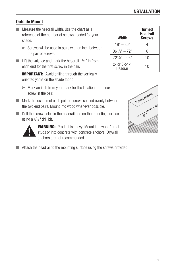# Outside Mount

- Measure the headrail width. Use the chart as a reference of the number of screws needed for your shade.
	- ► Screws will be used in pairs with an inch between the pair of screws.
- Lift the valance and mark the headrail  $1<sup>1</sup>/2<sup>''</sup>$  in from each end for the first screw in the pair.

**IMPORTANT:** Avoid drilling through the vertically oriented yarns on the shade fabric.

- ➤ Mark an inch from your mark for the location of the next screw in the pair.
- Mark the location of each pair of screws spaced evenly between the two end pairs. Mount into wood whenever possible.
- Drill the screw holes in the headrail and on the mounting surface using a 3/<sub>16</sub>" drill bit.



**WARNING:** Product is heavy. Mount into wood/metal studs or into concrete with concrete anchors. Drywall anchors are not recommended.

■ Attach the headrail to the mounting surface using the screws provided.

| Width                              | <b>Turned</b><br><b>Headrail</b><br><b>Screws</b> |
|------------------------------------|---------------------------------------------------|
| $18" - 36"$                        |                                                   |
| $36^{1}/8" - 72"$                  | 6                                                 |
| $72\frac{1}{8}$ " – 96"            | 10                                                |
| $2 -$ or $3 -$ on $-1$<br>Headrail | 10                                                |

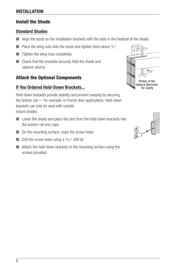# **INSTALLATION**

# Install the Shade

#### Standard Shades

- Align the studs on the installation brackets with the slots in the headrail of the shade.
- Place the wing nuts onto the studs and tighten them about  $1/2$ ".
- Tighten the wing nuts completely.
- Check that the brackets securely hold the shade and valance returns.

# Attach the Optional Components

#### If You Ordered Hold-Down Brackets...

Hold-down brackets provide stability and prevent swaying by securing the bottom rail — for example, in French door applications. Hold-down brackets can only be used with outside mount shades.

- Lower the shade and place the pins from the hold-down brackets into the bottom rail end caps.
- $\Box$  On the mounting surface, mark the screw holes.
- $\blacksquare$  Drill the screw holes using a  $\frac{3}{32}$ " drill bit.
- Attach the hold-down brackets to the mounting surface using the screws provided.



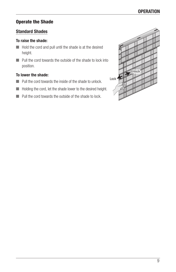# Operate the Shade

#### Standard Shades

#### To raise the shade:

- Hold the cord and pull until the shade is at the desired height.
- Pull the cord towards the outside of the shade to lock into position.

#### To lower the shade:

- Pull the cord towards the inside of the shade to unlock.
- Holding the cord, let the shade lower to the desired height.
- Pull the cord towards the outside of the shade to lock.

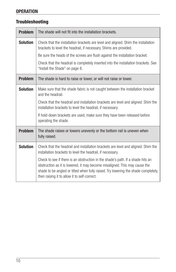# **OPERATION**

# **Troubleshooting**

| <b>Problem</b>  | The shade will not fit into the installation brackets.                                                                                                                                                                                                                                              |
|-----------------|-----------------------------------------------------------------------------------------------------------------------------------------------------------------------------------------------------------------------------------------------------------------------------------------------------|
| <b>Solution</b> | Check that the installation brackets are level and aligned. Shim the installation<br>brackets to level the headrail, if necessary. Shims are provided.                                                                                                                                              |
|                 | Be sure the heads of the screws are flush against the installation bracket.                                                                                                                                                                                                                         |
|                 | Check that the headrail is completely inserted into the installation brackets. See<br>"Install the Shade" on page 8.                                                                                                                                                                                |
| <b>Problem</b>  | The shade is hard to raise or lower, or will not raise or lower.                                                                                                                                                                                                                                    |
| <b>Solution</b> | Make sure that the shade fabric is not caught between the installation bracket<br>and the headrail.                                                                                                                                                                                                 |
|                 | Check that the headrail and installation brackets are level and aligned. Shim the<br>installation brackets to level the headrail, if necessary.                                                                                                                                                     |
|                 | If hold-down brackets are used, make sure they have been released before<br>operating the shade.                                                                                                                                                                                                    |
| <b>Problem</b>  | The shade raises or lowers unevenly or the bottom rail is uneven when<br>fully raised.                                                                                                                                                                                                              |
| <b>Solution</b> | Check that the headrail and installation brackets are level and aligned. Shim the<br>installation brackets to level the headrail, if necessary.                                                                                                                                                     |
|                 | Check to see if there is an obstruction in the shade's path. If a shade hits an<br>obstruction as it is lowered, it may become misaligned. This may cause the<br>shade to be angled or tilted when fully raised. Try lowering the shade completely,<br>then raising it to allow it to self-correct. |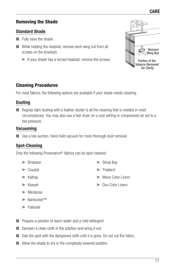# Removing the Shade

#### Standard Shade

- Fully raise the shade.
- While holding the headrail, remove each wing nut from all screws on the brackets.
	- ➤ If your shade has a turned headrail, remove the screws.



# Cleaning Procedures

For most fabrics, the following options are available if your shade needs cleaning.

#### **Dusting**

■ Regular light dusting with a feather duster is all the cleaning that is needed in most circumstances. You may also use a hair dryer on a cool setting or compressed air set to a low pressure.

#### Vacuuming

■ Use a low suction, hand-held vacuum for more thorough dust removal.

### Spot-Cleaning

Only the following Provenance® fabrics can be spot-cleaned:

- ➤ Brisbane
- ➤ Coastal
- ➤ Kathay
- ➤ Kiawah
- ➤ Mindanao
- ➤ Nantucket™
- ➤ Palisade
- Prepare a solution of warm water and a mild detergent.
- Dampen a clean cloth in the solution and wring it out.
- Dab the spot with the dampened cloth until it is gone. Do not rub the fabric.
- Allow the shade to dry in the completely lowered position.
- ➤ Shoal Bay
- ➤ Thailand
- ➤ Mono Color Liners
- ➤ Duo Color Liners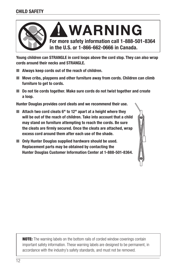

Young children can STRANGLE in cord loops above the cord stop. They can also wrap cords around their necks and STRANGLE.

- Always keep cords out of the reach of children.
- Move cribs, playpens and other furniture away from cords. Children can climb furniture to get to cords.
- Do not tie cords together. Make sure cords do not twist together and create a loop.

Hunter Douglas provides cord cleats and we recommend their use.

- $\blacksquare$  Attach two cord cleats 6" to 12" apart at a height where they will be out of the reach of children. Take into account that a child may stand on furniture attempting to reach the cords. Be sure the cleats are firmly secured. Once the cleats are attached, wrap excess cord around them after each use of the shade.
- Only Hunter Douglas supplied hardware should be used. Replacement parts may be obtained by contacting the Hunter Douglas Customer Information Center at 1-888-501-8364.

**NOTE:** The warning labels on the bottom rails of corded window coverings contain important safety information. These warning labels are designed to be permanent, in accordance with the industry's safety standards, and must not be removed.